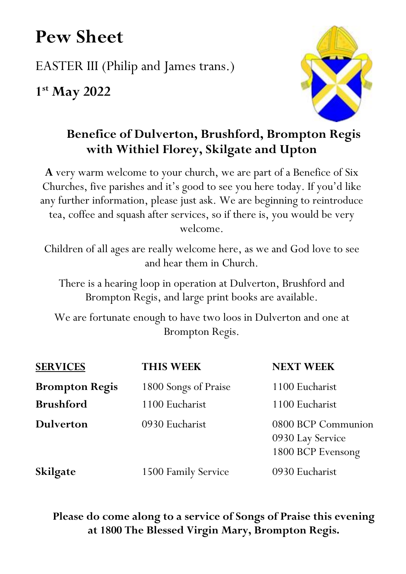# **Pew Sheet**

EASTER III (Philip and James trans.)

**1st May 2022**



# **Benefice of Dulverton, Brushford, Brompton Regis with Withiel Florey, Skilgate and Upton**

**A** very warm welcome to your church, we are part of a Benefice of Six Churches, five parishes and it's good to see you here today. If you'd like any further information, please just ask. We are beginning to reintroduce tea, coffee and squash after services, so if there is, you would be very welcome.

Children of all ages are really welcome here, as we and God love to see and hear them in Church.

There is a hearing loop in operation at Dulverton, Brushford and Brompton Regis, and large print books are available.

We are fortunate enough to have two loos in Dulverton and one at Brompton Regis.

| <b>SERVICES</b>       | <b>THIS WEEK</b>     | <b>NEXT WEEK</b>                                            |
|-----------------------|----------------------|-------------------------------------------------------------|
| <b>Brompton Regis</b> | 1800 Songs of Praise | 1100 Eucharist                                              |
| <b>Brushford</b>      | 1100 Eucharist       | 1100 Eucharist                                              |
| <b>Dulverton</b>      | 0930 Eucharist       | 0800 BCP Communion<br>0930 Lay Service<br>1800 BCP Evensong |
| <b>Skilgate</b>       | 1500 Family Service  | 0930 Eucharist                                              |

## **Please do come along to a service of Songs of Praise this evening at 1800 The Blessed Virgin Mary, Brompton Regis.**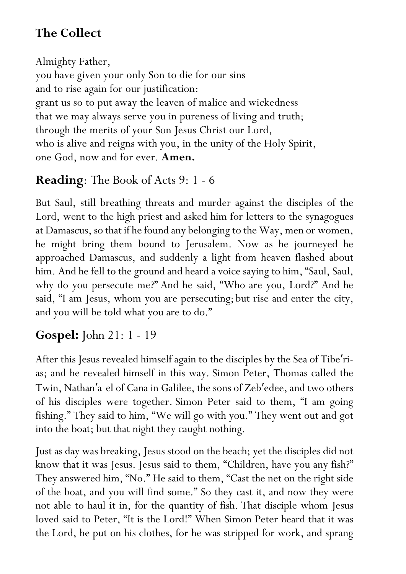# **The Collect**

Almighty Father, you have given your only Son to die for our sins and to rise again for our justification: grant us so to put away the leaven of malice and wickedness that we may always serve you in pureness of living and truth; through the merits of your Son Jesus Christ our Lord, who is alive and reigns with you, in the unity of the Holy Spirit, one God, now and for ever. **Amen.**

## **Reading**: The Book of Acts 9: 1 - 6

But Saul, still breathing threats and murder against the disciples of the Lord, went to the high priest and asked him for letters to the synagogues at Damascus, so that if he found any belonging to the Way, men or women, he might bring them bound to Jerusalem. Now as he journeyed he approached Damascus, and suddenly a light from heaven flashed about him. And he fell to the ground and heard a voice saying to him, "Saul, Saul, why do you persecute me?" And he said, "Who are you, Lord?" And he said, "I am Jesus, whom you are persecuting; but rise and enter the city, and you will be told what you are to do."

# **Gospel:** John 21: 1 - 19

After this Jesus revealed himself again to the disciples by the Sea of Tibe′rias; and he revealed himself in this way. Simon Peter, Thomas called the Twin, Nathan′ a-el of Cana in Galilee, the sons of Zeb′edee, and two others of his disciples were together. Simon Peter said to them, "I am going fishing." They said to him, "We will go with you." They went out and got into the boat; but that night they caught nothing.

Just as day was breaking, Jesus stood on the beach; yet the disciples did not know that it was Jesus. Jesus said to them, "Children, have you any fish?" They answered him, "No." He said to them, "Cast the net on the right side of the boat, and you will find some." So they cast it, and now they were not able to haul it in, for the quantity of fish. That disciple whom Jesus loved said to Peter, "It is the Lord!" When Simon Peter heard that it was the Lord, he put on his clothes, for he was stripped for work, and sprang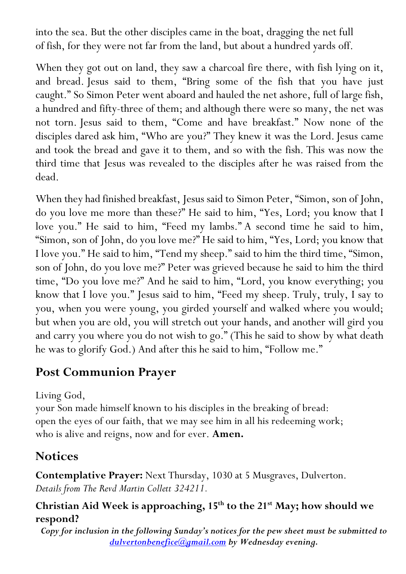into the sea. But the other disciples came in the boat, dragging the net full of fish, for they were not far from the land, but about a hundred yards off.

When they got out on land, they saw a charcoal fire there, with fish lying on it, and bread. Jesus said to them, "Bring some of the fish that you have just caught." So Simon Peter went aboard and hauled the net ashore, full of large fish, a hundred and fifty-three of them; and although there were so many, the net was not torn. Jesus said to them, "Come and have breakfast." Now none of the disciples dared ask him, "Who are you?" They knew it was the Lord. Jesus came and took the bread and gave it to them, and so with the fish. This was now the third time that Jesus was revealed to the disciples after he was raised from the dead.

When they had finished breakfast, Jesus said to Simon Peter, "Simon, son of John, do you love me more than these?" He said to him, "Yes, Lord; you know that I love you." He said to him, "Feed my lambs." A second time he said to him, "Simon, son of John, do you love me?" He said to him, "Yes, Lord; you know that I love you." He said to him, "Tend my sheep." said to him the third time, "Simon, son of John, do you love me?" Peter was grieved because he said to him the third time, "Do you love me?" And he said to him, "Lord, you know everything; you know that I love you." Jesus said to him, "Feed my sheep. Truly, truly, I say to you, when you were young, you girded yourself and walked where you would; but when you are old, you will stretch out your hands, and another will gird you and carry you where you do not wish to go." (This he said to show by what death he was to glorify God.) And after this he said to him, "Follow me."

## **Post Communion Prayer**

Living God,

your Son made himself known to his disciples in the breaking of bread: open the eyes of our faith, that we may see him in all his redeeming work; who is alive and reigns, now and for ever. **Amen.**

# **Notices**

**Contemplative Prayer:** Next Thursday, 1030 at 5 Musgraves, Dulverton. *Details from The Revd Martin Collett 324211.*

## **Christian Aid Week is approaching, 15th to the 21st May; how should we respond?**

*Copy for inclusion in the following Sunday's notices for the pew sheet must be submitted to dulvertonbenefice@gmail.com by Wednesday evening.*